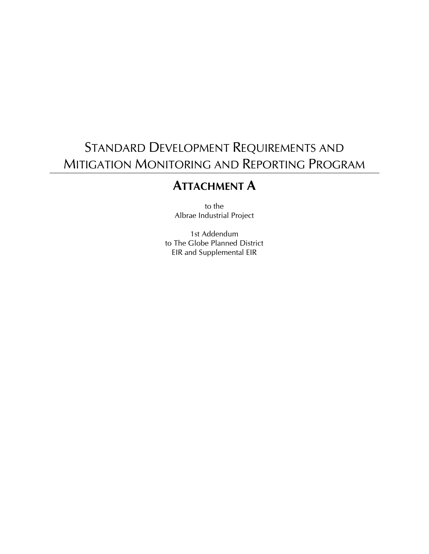## STANDARD DEVELOPMENT REQUIREMENTS AND MITIGATION MONITORING AND REPORTING PROGRAM

## **ATTACHMENT A**

to the Albrae Industrial Project

1st Addendum to The Globe Planned District EIR and Supplemental EIR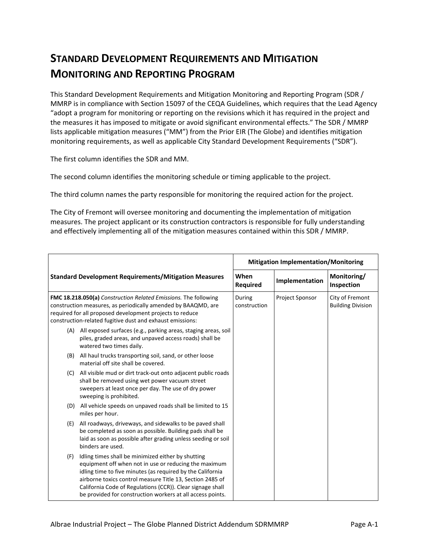## **STANDARD DEVELOPMENT REQUIREMENTS AND MITIGATION MONITORING AND REPORTING PROGRAM**

This Standard Development Requirements and Mitigation Monitoring and Reporting Program (SDR / MMRP is in compliance with Section 15097 of the CEQA Guidelines, which requires that the Lead Agency "adopt a program for monitoring or reporting on the revisions which it has required in the project and the measures it has imposed to mitigate or avoid significant environmental effects." The SDR / MMRP lists applicable mitigation measures ("MM") from the Prior EIR (The Globe) and identifies mitigation monitoring requirements, as well as applicable City Standard Development Requirements ("SDR").

The first column identifies the SDR and MM.

The second column identifies the monitoring schedule or timing applicable to the project.

The third column names the party responsible for monitoring the required action for the project.

The City of Fremont will oversee monitoring and documenting the implementation of mitigation measures. The project applicant or its construction contractors is responsible for fully understanding and effectively implementing all of the mitigation measures contained within this SDR / MMRP.

|                                                                                                                                                                                                                                                           |                                                                                                                                                                                                                                                                                                                                                                    | <b>Mitigation Implementation/Monitoring</b> |                 |                                             |
|-----------------------------------------------------------------------------------------------------------------------------------------------------------------------------------------------------------------------------------------------------------|--------------------------------------------------------------------------------------------------------------------------------------------------------------------------------------------------------------------------------------------------------------------------------------------------------------------------------------------------------------------|---------------------------------------------|-----------------|---------------------------------------------|
|                                                                                                                                                                                                                                                           | <b>Standard Development Requirements/Mitigation Measures</b>                                                                                                                                                                                                                                                                                                       | When<br>Required                            | Implementation  | Monitoring/<br>Inspection                   |
| FMC 18.218.050(a) Construction Related Emissions. The following<br>construction measures, as periodically amended by BAAQMD, are<br>required for all proposed development projects to reduce<br>construction-related fugitive dust and exhaust emissions: |                                                                                                                                                                                                                                                                                                                                                                    | During<br>construction                      | Project Sponsor | City of Fremont<br><b>Building Division</b> |
|                                                                                                                                                                                                                                                           | (A) All exposed surfaces (e.g., parking areas, staging areas, soil<br>piles, graded areas, and unpaved access roads) shall be<br>watered two times daily.                                                                                                                                                                                                          |                                             |                 |                                             |
|                                                                                                                                                                                                                                                           | (B) All haul trucks transporting soil, sand, or other loose<br>material off site shall be covered.                                                                                                                                                                                                                                                                 |                                             |                 |                                             |
|                                                                                                                                                                                                                                                           | (C) All visible mud or dirt track-out onto adjacent public roads<br>shall be removed using wet power vacuum street<br>sweepers at least once per day. The use of dry power<br>sweeping is prohibited.                                                                                                                                                              |                                             |                 |                                             |
|                                                                                                                                                                                                                                                           | (D) All vehicle speeds on unpaved roads shall be limited to 15<br>miles per hour.                                                                                                                                                                                                                                                                                  |                                             |                 |                                             |
| (E)                                                                                                                                                                                                                                                       | All roadways, driveways, and sidewalks to be paved shall<br>be completed as soon as possible. Building pads shall be<br>laid as soon as possible after grading unless seeding or soil<br>binders are used.                                                                                                                                                         |                                             |                 |                                             |
| (F)                                                                                                                                                                                                                                                       | Idling times shall be minimized either by shutting<br>equipment off when not in use or reducing the maximum<br>idling time to five minutes (as required by the California<br>airborne toxics control measure Title 13, Section 2485 of<br>California Code of Regulations (CCR)). Clear signage shall<br>be provided for construction workers at all access points. |                                             |                 |                                             |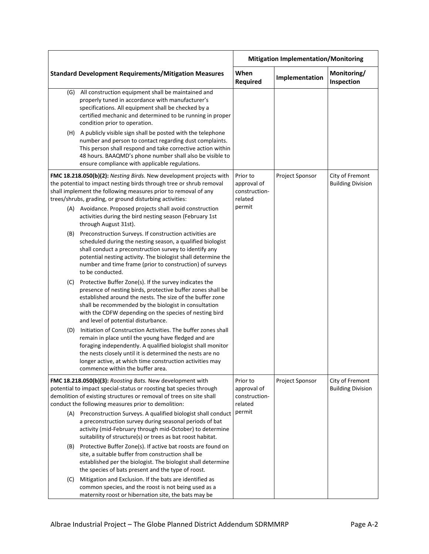|                                                                                                                                                                                                                                                                        |                                                                                                                                                                                                                                                                                                                                                   | <b>Mitigation Implementation/Monitoring</b>         |                 |                                             |
|------------------------------------------------------------------------------------------------------------------------------------------------------------------------------------------------------------------------------------------------------------------------|---------------------------------------------------------------------------------------------------------------------------------------------------------------------------------------------------------------------------------------------------------------------------------------------------------------------------------------------------|-----------------------------------------------------|-----------------|---------------------------------------------|
|                                                                                                                                                                                                                                                                        | <b>Standard Development Requirements/Mitigation Measures</b>                                                                                                                                                                                                                                                                                      | When<br>Required                                    | Implementation  | Monitoring/<br>Inspection                   |
| (G)                                                                                                                                                                                                                                                                    | All construction equipment shall be maintained and<br>properly tuned in accordance with manufacturer's<br>specifications. All equipment shall be checked by a<br>certified mechanic and determined to be running in proper<br>condition prior to operation.                                                                                       |                                                     |                 |                                             |
|                                                                                                                                                                                                                                                                        | (H) A publicly visible sign shall be posted with the telephone<br>number and person to contact regarding dust complaints.<br>This person shall respond and take corrective action within<br>48 hours. BAAQMD's phone number shall also be visible to<br>ensure compliance with applicable regulations.                                            |                                                     |                 |                                             |
| FMC 18.218.050(b)(2): Nesting Birds. New development projects with<br>the potential to impact nesting birds through tree or shrub removal<br>shall implement the following measures prior to removal of any<br>trees/shrubs, grading, or ground disturbing activities: |                                                                                                                                                                                                                                                                                                                                                   | Prior to<br>approval of<br>construction-<br>related | Project Sponsor | City of Fremont<br><b>Building Division</b> |
|                                                                                                                                                                                                                                                                        | (A) Avoidance. Proposed projects shall avoid construction<br>activities during the bird nesting season (February 1st<br>through August 31st).                                                                                                                                                                                                     | permit                                              |                 |                                             |
|                                                                                                                                                                                                                                                                        | (B) Preconstruction Surveys. If construction activities are<br>scheduled during the nesting season, a qualified biologist<br>shall conduct a preconstruction survey to identify any<br>potential nesting activity. The biologist shall determine the<br>number and time frame (prior to construction) of surveys<br>to be conducted.              |                                                     |                 |                                             |
|                                                                                                                                                                                                                                                                        | (C) Protective Buffer Zone(s). If the survey indicates the<br>presence of nesting birds, protective buffer zones shall be<br>established around the nests. The size of the buffer zone<br>shall be recommended by the biologist in consultation<br>with the CDFW depending on the species of nesting bird<br>and level of potential disturbance.  |                                                     |                 |                                             |
| (D)                                                                                                                                                                                                                                                                    | Initiation of Construction Activities. The buffer zones shall<br>remain in place until the young have fledged and are<br>foraging independently. A qualified biologist shall monitor<br>the nests closely until it is determined the nests are no<br>longer active, at which time construction activities may<br>commence within the buffer area. |                                                     |                 |                                             |
|                                                                                                                                                                                                                                                                        | FMC 18.218.050(b)(3): Roosting Bats. New development with<br>potential to impact special-status or roosting bat species through<br>demolition of existing structures or removal of trees on site shall<br>conduct the following measures prior to demolition:                                                                                     | Prior to<br>approval of<br>construction-<br>related | Project Sponsor | City of Fremont<br><b>Building Division</b> |
|                                                                                                                                                                                                                                                                        | (A) Preconstruction Surveys. A qualified biologist shall conduct<br>a preconstruction survey during seasonal periods of bat<br>activity (mid-February through mid-October) to determine<br>suitability of structure(s) or trees as bat roost habitat.                                                                                             | permit                                              |                 |                                             |
|                                                                                                                                                                                                                                                                        | (B) Protective Buffer Zone(s). If active bat roosts are found on<br>site, a suitable buffer from construction shall be<br>established per the biologist. The biologist shall determine<br>the species of bats present and the type of roost.                                                                                                      |                                                     |                 |                                             |
| (C)                                                                                                                                                                                                                                                                    | Mitigation and Exclusion. If the bats are identified as<br>common species, and the roost is not being used as a<br>maternity roost or hibernation site, the bats may be                                                                                                                                                                           |                                                     |                 |                                             |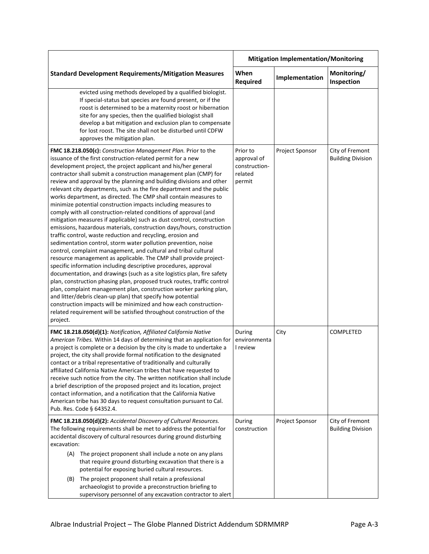|                                                                                                                                                                                                                                                                                                                                                                                                                                                                                                                                                                                                                                                                                                                                                                                                                                                                                                                                                                                                                                                                                                                                                                                                                                                                                                                                                                                                                                                                                                                                                                                | <b>Mitigation Implementation/Monitoring</b>                   |                 |                                             |
|--------------------------------------------------------------------------------------------------------------------------------------------------------------------------------------------------------------------------------------------------------------------------------------------------------------------------------------------------------------------------------------------------------------------------------------------------------------------------------------------------------------------------------------------------------------------------------------------------------------------------------------------------------------------------------------------------------------------------------------------------------------------------------------------------------------------------------------------------------------------------------------------------------------------------------------------------------------------------------------------------------------------------------------------------------------------------------------------------------------------------------------------------------------------------------------------------------------------------------------------------------------------------------------------------------------------------------------------------------------------------------------------------------------------------------------------------------------------------------------------------------------------------------------------------------------------------------|---------------------------------------------------------------|-----------------|---------------------------------------------|
| <b>Standard Development Requirements/Mitigation Measures</b>                                                                                                                                                                                                                                                                                                                                                                                                                                                                                                                                                                                                                                                                                                                                                                                                                                                                                                                                                                                                                                                                                                                                                                                                                                                                                                                                                                                                                                                                                                                   | When<br><b>Required</b>                                       | Implementation  | Monitoring/<br>Inspection                   |
| evicted using methods developed by a qualified biologist.<br>If special-status bat species are found present, or if the<br>roost is determined to be a maternity roost or hibernation<br>site for any species, then the qualified biologist shall<br>develop a bat mitigation and exclusion plan to compensate<br>for lost roost. The site shall not be disturbed until CDFW<br>approves the mitigation plan.                                                                                                                                                                                                                                                                                                                                                                                                                                                                                                                                                                                                                                                                                                                                                                                                                                                                                                                                                                                                                                                                                                                                                                  |                                                               |                 |                                             |
| FMC 18.218.050(c): Construction Management Plan. Prior to the<br>issuance of the first construction-related permit for a new<br>development project, the project applicant and his/her general<br>contractor shall submit a construction management plan (CMP) for<br>review and approval by the planning and building divisions and other<br>relevant city departments, such as the fire department and the public<br>works department, as directed. The CMP shall contain measures to<br>minimize potential construction impacts including measures to<br>comply with all construction-related conditions of approval (and<br>mitigation measures if applicable) such as dust control, construction<br>emissions, hazardous materials, construction days/hours, construction<br>traffic control, waste reduction and recycling, erosion and<br>sedimentation control, storm water pollution prevention, noise<br>control, complaint management, and cultural and tribal cultural<br>resource management as applicable. The CMP shall provide project-<br>specific information including descriptive procedures, approval<br>documentation, and drawings (such as a site logistics plan, fire safety<br>plan, construction phasing plan, proposed truck routes, traffic control<br>plan, complaint management plan, construction worker parking plan,<br>and litter/debris clean-up plan) that specify how potential<br>construction impacts will be minimized and how each construction-<br>related requirement will be satisfied throughout construction of the<br>project. | Prior to<br>approval of<br>construction-<br>related<br>permit | Project Sponsor | City of Fremont<br><b>Building Division</b> |
| FMC 18.218.050(d)(1): Notification, Affiliated California Native<br>American Tribes. Within 14 days of determining that an application for<br>a project is complete or a decision by the city is made to undertake a<br>project, the city shall provide formal notification to the designated<br>contact or a tribal representative of traditionally and culturally<br>affiliated California Native American tribes that have requested to<br>receive such notice from the city. The written notification shall include<br>a brief description of the proposed project and its location, project<br>contact information, and a notification that the California Native<br>American tribe has 30 days to request consultation pursuant to Cal.<br>Pub. Res. Code § 64352.4.                                                                                                                                                                                                                                                                                                                                                                                                                                                                                                                                                                                                                                                                                                                                                                                                     | During<br>environmenta<br>I review                            | City            | COMPLETED                                   |
| FMC 18.218.050(d)(2): Accidental Discovery of Cultural Resources.<br>The following requirements shall be met to address the potential for<br>accidental discovery of cultural resources during ground disturbing<br>excavation:<br>(A)<br>The project proponent shall include a note on any plans<br>that require ground disturbing excavation that there is a<br>potential for exposing buried cultural resources.<br>The project proponent shall retain a professional<br>(B)<br>archaeologist to provide a preconstruction briefing to<br>supervisory personnel of any excavation contractor to alert                                                                                                                                                                                                                                                                                                                                                                                                                                                                                                                                                                                                                                                                                                                                                                                                                                                                                                                                                                       | During<br>construction                                        | Project Sponsor | City of Fremont<br><b>Building Division</b> |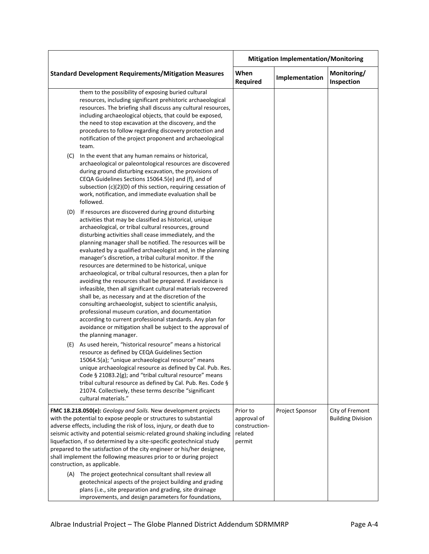|                                                                                                                                                                                                                                                                                                                                                                                                                                                                                                                                                                                                                                                                                                                                                                                          |                                                                                                                                                                                                                                                                                                                                                                                                                                                                                                                                                                                                                                                                                                                                                                                                                                                                                                                                                                                                          | <b>Mitigation Implementation/Monitoring</b>                   |                 |                                             |
|------------------------------------------------------------------------------------------------------------------------------------------------------------------------------------------------------------------------------------------------------------------------------------------------------------------------------------------------------------------------------------------------------------------------------------------------------------------------------------------------------------------------------------------------------------------------------------------------------------------------------------------------------------------------------------------------------------------------------------------------------------------------------------------|----------------------------------------------------------------------------------------------------------------------------------------------------------------------------------------------------------------------------------------------------------------------------------------------------------------------------------------------------------------------------------------------------------------------------------------------------------------------------------------------------------------------------------------------------------------------------------------------------------------------------------------------------------------------------------------------------------------------------------------------------------------------------------------------------------------------------------------------------------------------------------------------------------------------------------------------------------------------------------------------------------|---------------------------------------------------------------|-----------------|---------------------------------------------|
|                                                                                                                                                                                                                                                                                                                                                                                                                                                                                                                                                                                                                                                                                                                                                                                          | <b>Standard Development Requirements/Mitigation Measures</b>                                                                                                                                                                                                                                                                                                                                                                                                                                                                                                                                                                                                                                                                                                                                                                                                                                                                                                                                             | When<br>Required                                              | Implementation  | Monitoring/<br>Inspection                   |
|                                                                                                                                                                                                                                                                                                                                                                                                                                                                                                                                                                                                                                                                                                                                                                                          | them to the possibility of exposing buried cultural<br>resources, including significant prehistoric archaeological<br>resources. The briefing shall discuss any cultural resources,<br>including archaeological objects, that could be exposed,<br>the need to stop excavation at the discovery, and the<br>procedures to follow regarding discovery protection and<br>notification of the project proponent and archaeological<br>team.                                                                                                                                                                                                                                                                                                                                                                                                                                                                                                                                                                 |                                                               |                 |                                             |
| (C)                                                                                                                                                                                                                                                                                                                                                                                                                                                                                                                                                                                                                                                                                                                                                                                      | In the event that any human remains or historical,<br>archaeological or paleontological resources are discovered<br>during ground disturbing excavation, the provisions of<br>CEQA Guidelines Sections 15064.5(e) and (f), and of<br>subsection (c)(2)(D) of this section, requiring cessation of<br>work, notification, and immediate evaluation shall be<br>followed.                                                                                                                                                                                                                                                                                                                                                                                                                                                                                                                                                                                                                                  |                                                               |                 |                                             |
| (D)                                                                                                                                                                                                                                                                                                                                                                                                                                                                                                                                                                                                                                                                                                                                                                                      | If resources are discovered during ground disturbing<br>activities that may be classified as historical, unique<br>archaeological, or tribal cultural resources, ground<br>disturbing activities shall cease immediately, and the<br>planning manager shall be notified. The resources will be<br>evaluated by a qualified archaeologist and, in the planning<br>manager's discretion, a tribal cultural monitor. If the<br>resources are determined to be historical, unique<br>archaeological, or tribal cultural resources, then a plan for<br>avoiding the resources shall be prepared. If avoidance is<br>infeasible, then all significant cultural materials recovered<br>shall be, as necessary and at the discretion of the<br>consulting archaeologist, subject to scientific analysis,<br>professional museum curation, and documentation<br>according to current professional standards. Any plan for<br>avoidance or mitigation shall be subject to the approval of<br>the planning manager. |                                                               |                 |                                             |
| (E)                                                                                                                                                                                                                                                                                                                                                                                                                                                                                                                                                                                                                                                                                                                                                                                      | As used herein, "historical resource" means a historical<br>resource as defined by CEQA Guidelines Section<br>15064.5(a); "unique archaeological resource" means<br>unique archaeological resource as defined by Cal. Pub. Res.<br>Code § 21083.2(g); and "tribal cultural resource" means<br>tribal cultural resource as defined by Cal. Pub. Res. Code §<br>21074. Collectively, these terms describe "significant<br>cultural materials."                                                                                                                                                                                                                                                                                                                                                                                                                                                                                                                                                             |                                                               |                 |                                             |
| FMC 18.218.050(e): Geology and Soils. New development projects<br>with the potential to expose people or structures to substantial<br>adverse effects, including the risk of loss, injury, or death due to<br>seismic activity and potential seismic-related ground shaking including<br>liquefaction, if so determined by a site-specific geotechnical study<br>prepared to the satisfaction of the city engineer or his/her designee,<br>shall implement the following measures prior to or during project<br>construction, as applicable.<br>(A) The project geotechnical consultant shall review all<br>geotechnical aspects of the project building and grading<br>plans (i.e., site preparation and grading, site drainage<br>improvements, and design parameters for foundations, |                                                                                                                                                                                                                                                                                                                                                                                                                                                                                                                                                                                                                                                                                                                                                                                                                                                                                                                                                                                                          | Prior to<br>approval of<br>construction-<br>related<br>permit | Project Sponsor | City of Fremont<br><b>Building Division</b> |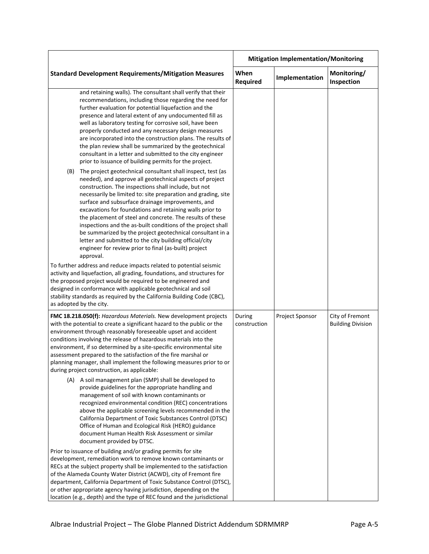| When<br><b>Required</b> |                 |                                             |
|-------------------------|-----------------|---------------------------------------------|
|                         | Implementation  | Monitoring/<br>Inspection                   |
|                         |                 |                                             |
|                         |                 |                                             |
|                         |                 |                                             |
| During<br>construction  | Project Sponsor | City of Fremont<br><b>Building Division</b> |
|                         |                 |                                             |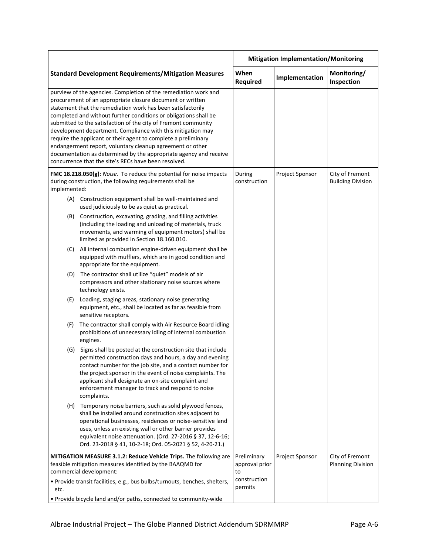|                                                                                                                                                                                                                                                                                                                                                                                                                                                                                                                                                                                                                                                              |                                                                                                                                                                                                                                                                                                                                                                                 | <b>Mitigation Implementation/Monitoring</b> |                 |                                             |
|--------------------------------------------------------------------------------------------------------------------------------------------------------------------------------------------------------------------------------------------------------------------------------------------------------------------------------------------------------------------------------------------------------------------------------------------------------------------------------------------------------------------------------------------------------------------------------------------------------------------------------------------------------------|---------------------------------------------------------------------------------------------------------------------------------------------------------------------------------------------------------------------------------------------------------------------------------------------------------------------------------------------------------------------------------|---------------------------------------------|-----------------|---------------------------------------------|
|                                                                                                                                                                                                                                                                                                                                                                                                                                                                                                                                                                                                                                                              | <b>Standard Development Requirements/Mitigation Measures</b>                                                                                                                                                                                                                                                                                                                    | When<br><b>Required</b>                     | Implementation  | Monitoring/<br>Inspection                   |
| purview of the agencies. Completion of the remediation work and<br>procurement of an appropriate closure document or written<br>statement that the remediation work has been satisfactorily<br>completed and without further conditions or obligations shall be<br>submitted to the satisfaction of the city of Fremont community<br>development department. Compliance with this mitigation may<br>require the applicant or their agent to complete a preliminary<br>endangerment report, voluntary cleanup agreement or other<br>documentation as determined by the appropriate agency and receive<br>concurrence that the site's RECs have been resolved. |                                                                                                                                                                                                                                                                                                                                                                                 |                                             |                 |                                             |
| implemented:                                                                                                                                                                                                                                                                                                                                                                                                                                                                                                                                                                                                                                                 | FMC 18.218.050(g): Noise. To reduce the potential for noise impacts<br>during construction, the following requirements shall be                                                                                                                                                                                                                                                 | During<br>construction                      | Project Sponsor | City of Fremont<br><b>Building Division</b> |
|                                                                                                                                                                                                                                                                                                                                                                                                                                                                                                                                                                                                                                                              | (A) Construction equipment shall be well-maintained and<br>used judiciously to be as quiet as practical.                                                                                                                                                                                                                                                                        |                                             |                 |                                             |
|                                                                                                                                                                                                                                                                                                                                                                                                                                                                                                                                                                                                                                                              | (B) Construction, excavating, grading, and filling activities<br>(including the loading and unloading of materials, truck<br>movements, and warming of equipment motors) shall be<br>limited as provided in Section 18.160.010.                                                                                                                                                 |                                             |                 |                                             |
| (C)                                                                                                                                                                                                                                                                                                                                                                                                                                                                                                                                                                                                                                                          | All internal combustion engine-driven equipment shall be<br>equipped with mufflers, which are in good condition and<br>appropriate for the equipment.                                                                                                                                                                                                                           |                                             |                 |                                             |
|                                                                                                                                                                                                                                                                                                                                                                                                                                                                                                                                                                                                                                                              | (D) The contractor shall utilize "quiet" models of air<br>compressors and other stationary noise sources where<br>technology exists.                                                                                                                                                                                                                                            |                                             |                 |                                             |
| (E)                                                                                                                                                                                                                                                                                                                                                                                                                                                                                                                                                                                                                                                          | Loading, staging areas, stationary noise generating<br>equipment, etc., shall be located as far as feasible from<br>sensitive receptors.                                                                                                                                                                                                                                        |                                             |                 |                                             |
| (F)                                                                                                                                                                                                                                                                                                                                                                                                                                                                                                                                                                                                                                                          | The contractor shall comply with Air Resource Board idling<br>prohibitions of unnecessary idling of internal combustion<br>engines.                                                                                                                                                                                                                                             |                                             |                 |                                             |
|                                                                                                                                                                                                                                                                                                                                                                                                                                                                                                                                                                                                                                                              | (G) Signs shall be posted at the construction site that include<br>permitted construction days and hours, a day and evening<br>contact number for the job site, and a contact number for<br>the project sponsor in the event of noise complaints. The<br>applicant shall designate an on-site complaint and<br>enforcement manager to track and respond to noise<br>complaints. |                                             |                 |                                             |
|                                                                                                                                                                                                                                                                                                                                                                                                                                                                                                                                                                                                                                                              | (H) Temporary noise barriers, such as solid plywood fences,<br>shall be installed around construction sites adjacent to<br>operational businesses, residences or noise-sensitive land<br>uses, unless an existing wall or other barrier provides<br>equivalent noise attenuation. (Ord. 27-2016 § 37, 12-6-16;<br>Ord. 23-2018 § 41, 10-2-18; Ord. 05-2021 § 52, 4-20-21.)      |                                             |                 |                                             |
| MITIGATION MEASURE 3.1.2: Reduce Vehicle Trips. The following are<br>feasible mitigation measures identified by the BAAQMD for<br>commercial development:                                                                                                                                                                                                                                                                                                                                                                                                                                                                                                    |                                                                                                                                                                                                                                                                                                                                                                                 | Preliminary<br>approval prior<br>to         | Project Sponsor | City of Fremont<br><b>Planning Division</b> |
| · Provide transit facilities, e.g., bus bulbs/turnouts, benches, shelters,<br>etc.                                                                                                                                                                                                                                                                                                                                                                                                                                                                                                                                                                           |                                                                                                                                                                                                                                                                                                                                                                                 | construction<br>permits                     |                 |                                             |
| . Provide bicycle land and/or paths, connected to community-wide                                                                                                                                                                                                                                                                                                                                                                                                                                                                                                                                                                                             |                                                                                                                                                                                                                                                                                                                                                                                 |                                             |                 |                                             |